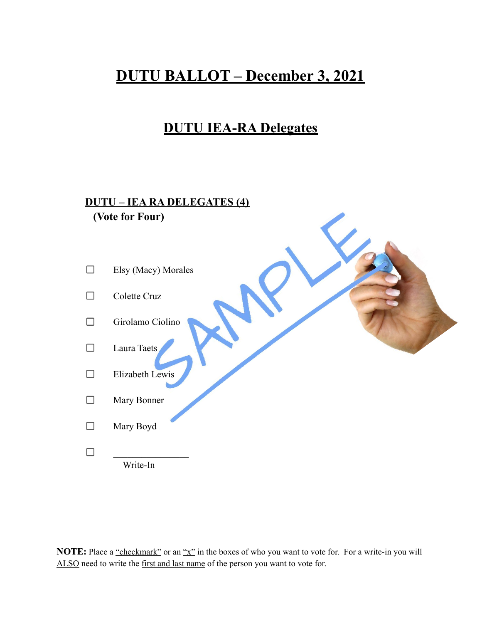## **DUTU BALLOT – December 3, 2021**

## **DUTU IEA-RA Delegates**

## **DUTU – IEA RA DELEGATES (4) (Vote for Four)**

| Elsy (Macy) Morales |
|---------------------|
| Colette Cruz        |
| Girolamo Ciolino    |
| Laura Taets         |
| Elizabeth Lewis     |
| Mary Bonner         |
| Mary Boyd           |
| Write-In            |